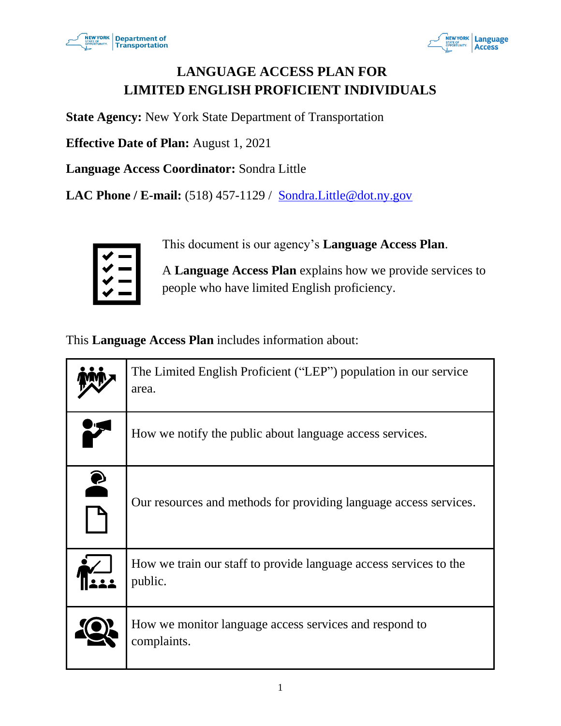



# **LANGUAGE ACCESS PLAN FOR LIMITED ENGLISH PROFICIENT INDIVIDUALS**

**State Agency:** New York State Department of Transportation

**Effective Date of Plan:** August 1, 2021

**Language Access Coordinator:** Sondra Little

**LAC Phone / E-mail:** (518) 457-1129 / [Sondra.Little@dot.ny.gov](mailto:Sondra.Little@dot.ny.gov)



This document is our agency's **Language Access Plan**.

A **Language Access Plan** explains how we provide services to people who have limited English proficiency.

This **Language Access Plan** includes information about:

|           | The Limited English Proficient ("LEP") population in our service<br>area.    |
|-----------|------------------------------------------------------------------------------|
|           | How we notify the public about language access services.                     |
| $\bullet$ | Our resources and methods for providing language access services.            |
|           | How we train our staff to provide language access services to the<br>public. |
|           | How we monitor language access services and respond to<br>complaints.        |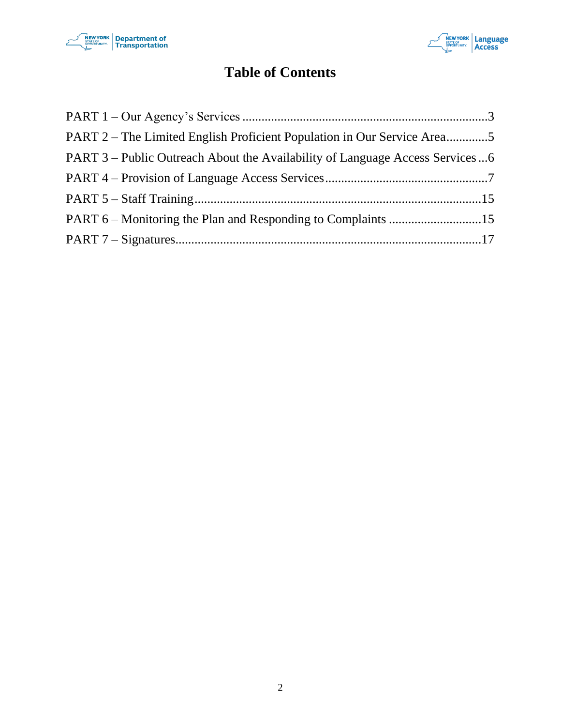



# **Table of Contents**

| PART 2 – The Limited English Proficient Population in Our Service Area5      |  |
|------------------------------------------------------------------------------|--|
| PART 3 – Public Outreach About the Availability of Language Access Services6 |  |
|                                                                              |  |
|                                                                              |  |
|                                                                              |  |
|                                                                              |  |
|                                                                              |  |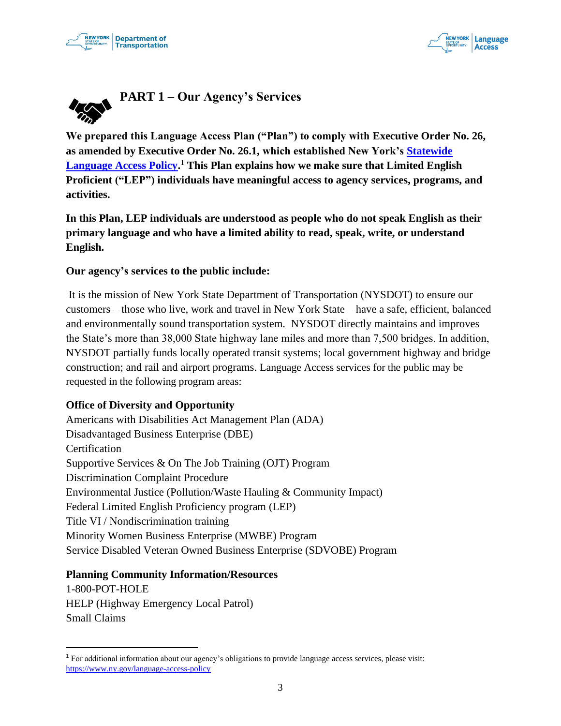



<span id="page-2-0"></span>

**We prepared this Language Access Plan ("Plan") to comply with Executive Order No. 26, as amended by Executive Order No. 26.1, which established New York's [Statewide](https://www.ny.gov/language-access-policy)  [Language Access Policy.](https://www.ny.gov/language-access-policy) <sup>1</sup> This Plan explains how we make sure that Limited English Proficient ("LEP") individuals have meaningful access to agency services, programs, and activities.**

**In this Plan, LEP individuals are understood as people who do not speak English as their primary language and who have a limited ability to read, speak, write, or understand English.** 

#### **Our agency's services to the public include:**

It is the mission of New York State Department of Transportation (NYSDOT) to ensure our customers – those who live, work and travel in New York State – have a safe, efficient, balanced and environmentally sound transportation system. NYSDOT directly maintains and improves the State's more than 38,000 State highway lane miles and more than 7,500 bridges. In addition, NYSDOT partially funds locally operated transit systems; local government highway and bridge construction; and rail and airport programs. Language Access services for the public may be requested in the following program areas:

#### **Office of Diversity and Opportunity**

[Americans with Disabilities Act Management Plan \(ADA\)](https://www.dot.ny.gov/programs/adamanagement)  [Disadvantaged Business Enterprise \(DBE\)](https://www.dot.ny.gov/main/business-center/audit/dbe-certification)  Certification [Supportive Services & On The Job Training \(OJT\) Program](https://www.dot.ny.gov/main/business-center/civil-rights/dbe-ojt)  [Discrimination Complaint Procedure](https://www.dot.ny.gov/main/business-center/civil-rights/forms-and-applications)  [Environmental Justice \(Pollution/Waste Hauling & Community Impact\)](https://www.dot.ny.gov/main/business-center/civil-rights/title-vi-ej)  Federal [Limited English Proficiency program \(](https://www.dot.ny.gov/main/business-center/civil-rights/title-vi-ej)LEP) [Title VI / Nondiscrimination](https://www.dot.ny.gov/main/business-center/civil-rights/title-vi-ej) training Minority Women Business Enterprise (MWBE) Program Service Disabled Veteran Owned Business Enterprise (SDVOBE) Program

#### **Planning Community Information/Resources**

[1-800-POT-HOLE](https://www.dot.ny.gov/programs/pothole-rpt)  [HELP \(Highway Emergency Local Patrol\)](https://www.dot.ny.gov/divisions/operating/oom/transportation-systems/systems-optimization-section/ny-moves/help-program)  [Small Claims](https://www.dot.ny.gov/divisions/legal-services-division/smallclaims) 

<sup>1</sup> For additional information about our agency's obligations to provide language access services, please visit: <https://www.ny.gov/language-access-policy>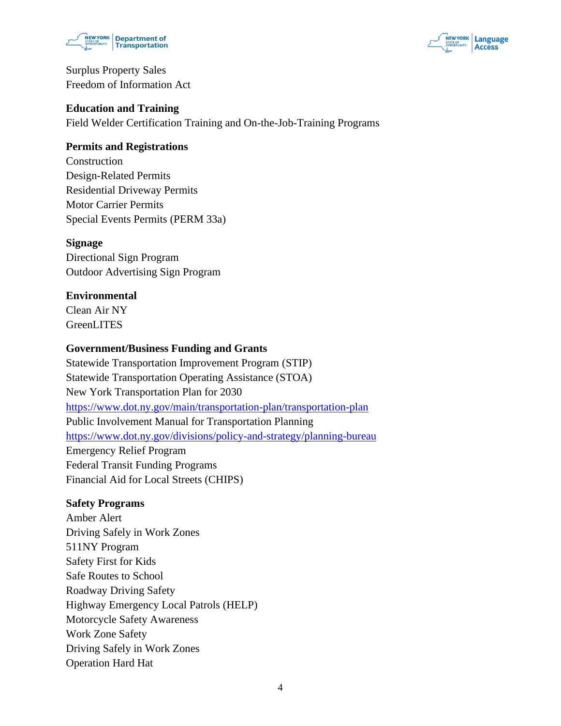



[Surplus Property Sales](https://www.dot.ny.gov/divisions/engineering/real-estate)  Freedom of Information Act

#### **Education and Training**

Field Welder Certification Training and On-the-Job-Training Programs

### **Permits and Registrations**

Construction [Design-Related Permits](https://www.dot.ny.gov/nypermits)  [Residential Driveway Permits](https://www.dot.ny.gov/programs/residential-driveway-permits)  Motor Carrier Permits [Special Events Permits \(PERM 33a\)](https://www.dot.ny.gov/divisions/operating/oom/transportation-systems/traffic-operations-section/special-permit) 

#### **Signage**

[Directional Sign Program](https://www.dot.ny.gov/programs/nys-signs/tod)  [Outdoor Advertising Sign Program](https://www.dot.ny.gov/programs/nys-signs/logo) 

### **Environmental**

[Clean Air NY](https://www.dot.ny.gov/news/press-releases/2007/2007-04-13)  [GreenLITES](https://www.dot.ny.gov/programs/greenlites) 

### **Government/Business Funding and Grants**

[Statewide Transportation Improvement Program](https://www.dot.ny.gov/programs/stip) (STIP) [Statewide Transportation Operating Assistance \(STOA\)](https://www.dot.ny.gov/divisions/policy-and-strategy/public-transportation/funding-sources/STOA)  New York Transportation Plan for 2030 <https://www.dot.ny.gov/main/transportation-plan/transportation-plan> Public Involvement Manual for Transportation Planning <https://www.dot.ny.gov/divisions/policy-and-strategy/planning-bureau> [Emergency Relief Program](https://www.dot.ny.gov/programs/emergency-relief)  [Federal Transit Funding Programs](https://www.dot.ny.gov/divisions/policy-and-strategy/public-transportation/funding-sources)  [Financial Aid for Local Streets \(CHIPS\)](https://www.dot.ny.gov/programs/chips) 

#### **Safety Programs**

[Amber Alert](http://www.nysamber.troopers.state.ny.us/)  [Driving Safely in Work Zones](https://www.dot.ny.gov/programs/driver-safety)  511NY Program [Safety First for Kids](https://www.dot.ny.gov/programs/safetyfirstkids)  [Safe Routes to School](https://www.dot.ny.gov/divisions/operating/opdm/local-programs-bureau/srts)  Roadway Driving Safety [Highway Emergency Local Patrols](https://www.dot.ny.gov/divisions/operating/oom/transportation-systems/systems-optimization-section/ny-moves/help-program) (HELP) [Motorcycle Safety Awareness](https://www.dot.ny.gov/divisions/operating/oom/transportation-systems/safety-program-technical-operations/motorcycle-safety-awareness)  Work Zone Safety [Driving Safely in Work Zones](https://www.dot.ny.gov/programs/driver-safety)  [Operation Hard Hat](https://www.dot.ny.gov/divisions/operating/oom/transportation-systems/safety-program-technical-operations/ohh)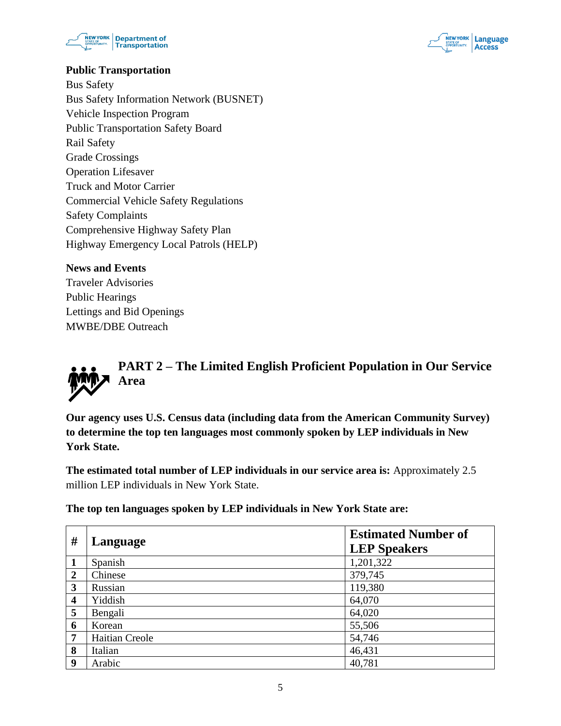



### **Public Transportation**

[Bus Safety](https://www.dot.ny.gov/divisions/operating/osss/bus)  [Bus Safety Information Network \(BUSNET\)](https://www.dot.ny.gov/divisions/operating/osss/bus/busnet)  [Vehicle Inspection Program](https://www.dot.ny.gov/divisions/operating/osss/bus/inspection)  [Public Transportation Safety Board](https://www.dot.ny.gov/divisions/operating/osss/ptsb)  [Rail Safety](https://www.dot.ny.gov/divisions/operating/osss/rail)  [Grade Crossings](https://www.dot.ny.gov/divisions/operating/osss/rail/grade-crossings)  [Operation Lifesaver](https://www.dot.ny.gov/divisions/operating/osss/ptsb/rail/accident-reports)  [Truck and Motor Carrier](https://www.dot.ny.gov/divisions/operating/osss/truck)  [Commercial Vehicle Safety Regulations](https://www.dot.ny.gov/divisions/operating/osss/truck/regulations)  [Safety Complaints](https://www.dot.ny.gov/divisions/operating/osss/truck/driver#complaints)  [Comprehensive Highway Safety Plan](https://www.dot.ny.gov/divisions/operating/osss/highway/comprehensive-plan)  [Highway Emergency Local Patrols \(HELP\)](https://www.dot.ny.gov/divisions/operating/oom/transportation-systems/systems-optimization-section/ny-moves/help-program) 

#### **News and Events**

Traveler Advisories Public Hearings Lettings and Bid Openings MWBE/DBE Outreach

<span id="page-4-0"></span>

**Our agency uses U.S. Census data (including data from the American Community Survey) to determine the top ten languages most commonly spoken by LEP individuals in New York State.** 

**The estimated total number of LEP individuals in our service area is:** Approximately 2.5 million LEP individuals in New York State.

**The top ten languages spoken by LEP individuals in New York State are:**

| #              | Language       | <b>Estimated Number of</b><br><b>LEP Speakers</b> |
|----------------|----------------|---------------------------------------------------|
| $\mathbf{1}$   | Spanish        | 1,201,322                                         |
| $\overline{2}$ | Chinese        | 379,745                                           |
| 3              | Russian        | 119,380                                           |
| 4              | Yiddish        | 64,070                                            |
| 5              | Bengali        | 64,020                                            |
| 6              | Korean         | 55,506                                            |
| 7              | Haitian Creole | 54,746                                            |
| 8              | Italian        | 46,431                                            |
| 9              | Arabic         | 40,781                                            |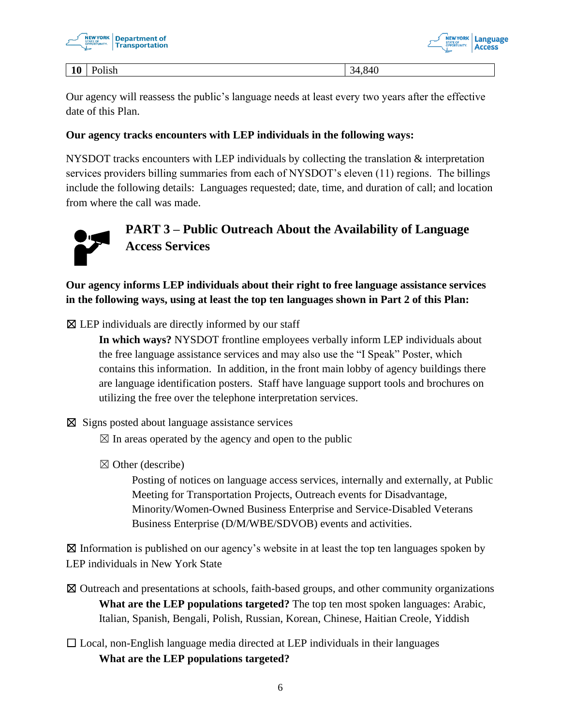



#### **10** Polish 34,840

Our agency will reassess the public's language needs at least every two years after the effective date of this Plan.

### **Our agency tracks encounters with LEP individuals in the following ways:**

NYSDOT tracks encounters with LEP individuals by collecting the translation & interpretation services providers billing summaries from each of NYSDOT's eleven (11) regions. The billings include the following details: Languages requested; date, time, and duration of call; and location from where the call was made.



# <span id="page-5-0"></span>**PART 3 – Public Outreach About the Availability of Language Access Services**

**Our agency informs LEP individuals about their right to free language assistance services in the following ways, using at least the top ten languages shown in Part 2 of this Plan:**

 $\boxtimes$  LEP individuals are directly informed by our staff

**In which ways?** NYSDOT frontline employees verbally inform LEP individuals about the free language assistance services and may also use the "I Speak" Poster, which contains this information. In addition, in the front main lobby of agency buildings there are language identification posters. Staff have language support tools and brochures on utilizing the free over the telephone interpretation services.

- ☒ Signs posted about language assistance services
	- $\boxtimes$  In areas operated by the agency and open to the public
	- $\boxtimes$  Other (describe)

Posting of notices on language access services, internally and externally, at Public Meeting for Transportation Projects, Outreach events for Disadvantage, Minority/Women-Owned Business Enterprise and Service-Disabled Veterans Business Enterprise (D/M/WBE/SDVOB) events and activities.

 $\boxtimes$  Information is published on our agency's website in at least the top ten languages spoken by LEP individuals in New York State

- ☒ Outreach and presentations at schools, faith-based groups, and other community organizations **What are the LEP populations targeted?** The top ten most spoken languages: Arabic, Italian, Spanish, Bengali, Polish, Russian, Korean, Chinese, Haitian Creole, Yiddish
- $\Box$  Local, non-English language media directed at LEP individuals in their languages **What are the LEP populations targeted?**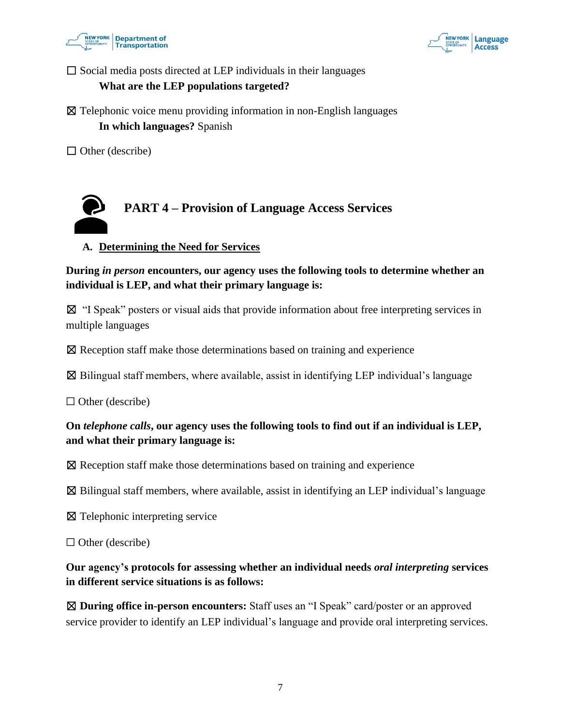



 $\square$  Social media posts directed at LEP individuals in their languages

### **What are the LEP populations targeted?**

 $\boxtimes$  Telephonic voice menu providing information in non-English languages **In which languages?** Spanish

 $\Box$  Other (describe)

<span id="page-6-0"></span>

# **A. Determining the Need for Services**

**During** *in person* **encounters, our agency uses the following tools to determine whether an individual is LEP, and what their primary language is:**

☒ "I Speak" posters or visual aids that provide information about free interpreting services in multiple languages

☒ Reception staff make those determinations based on training and experience

 $\boxtimes$  Bilingual staff members, where available, assist in identifying LEP individual's language

 $\Box$  Other (describe)

# **On** *telephone calls***, our agency uses the following tools to find out if an individual is LEP, and what their primary language is:**

☒ Reception staff make those determinations based on training and experience

 $\boxtimes$  Bilingual staff members, where available, assist in identifying an LEP individual's language

☒ Telephonic interpreting service

 $\Box$  Other (describe)

**Our agency's protocols for assessing whether an individual needs** *oral interpreting* **services in different service situations is as follows:**

☒ **During office in-person encounters:** Staff uses an "I Speak" card/poster or an approved service provider to identify an LEP individual's language and provide oral interpreting services.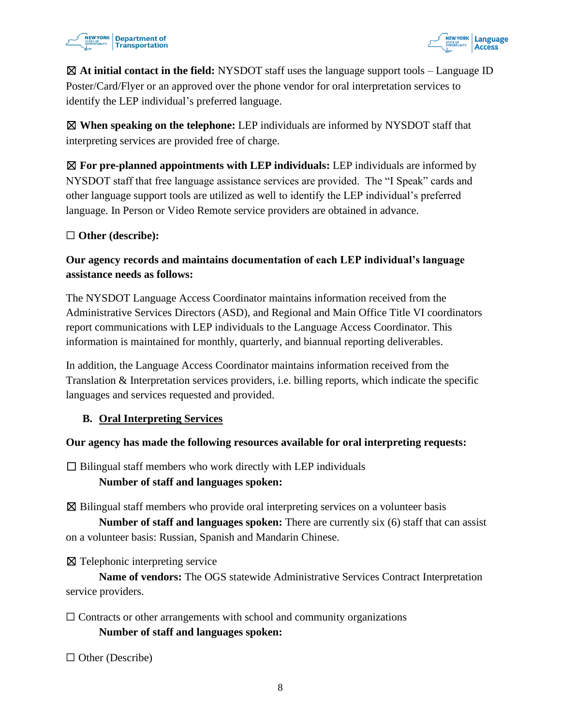



☒ **At initial contact in the field:** NYSDOT staff uses the language support tools – Language ID Poster/Card/Flyer or an approved over the phone vendor for oral interpretation services to identify the LEP individual's preferred language.

☒ **When speaking on the telephone:** LEP individuals are informed by NYSDOT staff that interpreting services are provided free of charge.

☒ **For pre-planned appointments with LEP individuals:** LEP individuals are informed by NYSDOT staff that free language assistance services are provided. The "I Speak" cards and other language support tools are utilized as well to identify the LEP individual's preferred language. In Person or Video Remote service providers are obtained in advance.

### ☐ **Other (describe):**

# **Our agency records and maintains documentation of each LEP individual's language assistance needs as follows:**

The NYSDOT Language Access Coordinator maintains information received from the Administrative Services Directors (ASD), and Regional and Main Office Title VI coordinators report communications with LEP individuals to the Language Access Coordinator. This information is maintained for monthly, quarterly, and biannual reporting deliverables.

In addition, the Language Access Coordinator maintains information received from the Translation & Interpretation services providers, i.e. billing reports, which indicate the specific languages and services requested and provided.

### **B. Oral Interpreting Services**

#### **Our agency has made the following resources available for oral interpreting requests:**

 $\Box$  Bilingual staff members who work directly with LEP individuals

#### **Number of staff and languages spoken:**

☒ Bilingual staff members who provide oral interpreting services on a volunteer basis

**Number of staff and languages spoken:** There are currently six (6) staff that can assist on a volunteer basis: Russian, Spanish and Mandarin Chinese.

⊠ Telephonic interpreting service

**Name of vendors:** The OGS statewide Administrative Services Contract Interpretation service providers.

 $\Box$  Contracts or other arrangements with school and community organizations **Number of staff and languages spoken:**

☐ Other (Describe)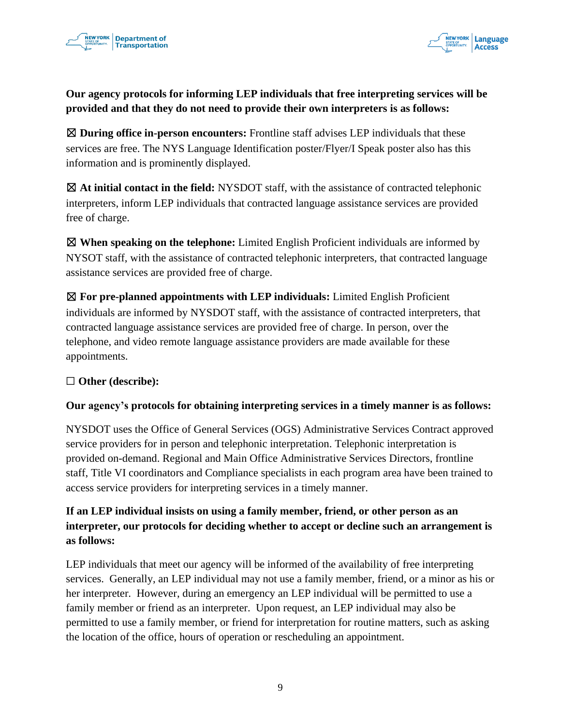



# **Our agency protocols for informing LEP individuals that free interpreting services will be provided and that they do not need to provide their own interpreters is as follows:**

☒ **During office in-person encounters:** Frontline staff advises LEP individuals that these services are free. The NYS Language Identification poster/Flyer/I Speak poster also has this information and is prominently displayed.

☒ **At initial contact in the field:** NYSDOT staff, with the assistance of contracted telephonic interpreters, inform LEP individuals that contracted language assistance services are provided free of charge.

☒ **When speaking on the telephone:** Limited English Proficient individuals are informed by NYSOT staff, with the assistance of contracted telephonic interpreters, that contracted language assistance services are provided free of charge.

☒ **For pre-planned appointments with LEP individuals:** Limited English Proficient individuals are informed by NYSDOT staff, with the assistance of contracted interpreters, that contracted language assistance services are provided free of charge. In person, over the telephone, and video remote language assistance providers are made available for these appointments.

### ☐ **Other (describe):**

### **Our agency's protocols for obtaining interpreting services in a timely manner is as follows:**

NYSDOT uses the Office of General Services (OGS) Administrative Services Contract approved service providers for in person and telephonic interpretation. Telephonic interpretation is provided on-demand. Regional and Main Office Administrative Services Directors, frontline staff, Title VI coordinators and Compliance specialists in each program area have been trained to access service providers for interpreting services in a timely manner.

# **If an LEP individual insists on using a family member, friend, or other person as an interpreter, our protocols for deciding whether to accept or decline such an arrangement is as follows:**

LEP individuals that meet our agency will be informed of the availability of free interpreting services. Generally, an LEP individual may not use a family member, friend, or a minor as his or her interpreter. However, during an emergency an LEP individual will be permitted to use a family member or friend as an interpreter. Upon request, an LEP individual may also be permitted to use a family member, or friend for interpretation for routine matters, such as asking the location of the office, hours of operation or rescheduling an appointment.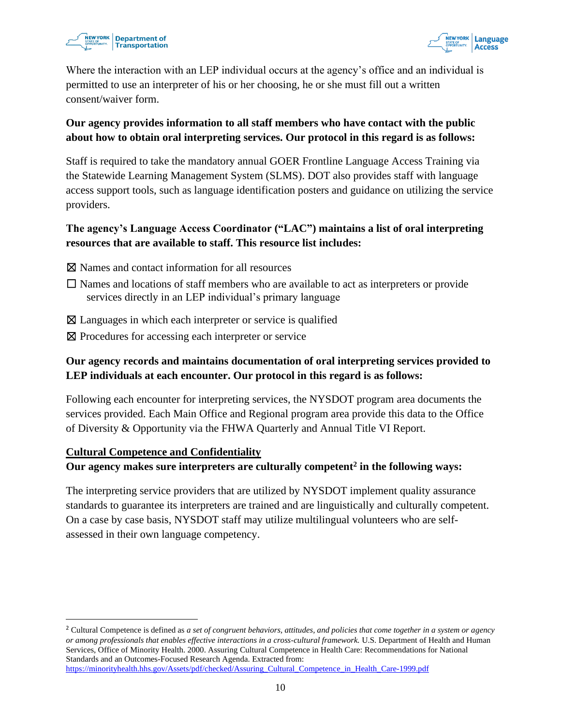



Where the interaction with an LEP individual occurs at the agency's office and an individual is permitted to use an interpreter of his or her choosing, he or she must fill out a written consent/waiver form.

# **Our agency provides information to all staff members who have contact with the public about how to obtain oral interpreting services. Our protocol in this regard is as follows:**

Staff is required to take the mandatory annual GOER Frontline Language Access Training via the Statewide Learning Management System (SLMS). DOT also provides staff with language access support tools, such as language identification posters and guidance on utilizing the service providers.

### **The agency's Language Access Coordinator ("LAC") maintains a list of oral interpreting resources that are available to staff. This resource list includes:**

- ☒ Names and contact information for all resources
- $\Box$  Names and locations of staff members who are available to act as interpreters or provide services directly in an LEP individual's primary language
- ⊠ Languages in which each interpreter or service is qualified
- ⊠ Procedures for accessing each interpreter or service

# **Our agency records and maintains documentation of oral interpreting services provided to LEP individuals at each encounter. Our protocol in this regard is as follows:**

Following each encounter for interpreting services, the NYSDOT program area documents the services provided. Each Main Office and Regional program area provide this data to the Office of Diversity & Opportunity via the FHWA Quarterly and Annual Title VI Report.

### **Cultural Competence and Confidentiality**

### **Our agency makes sure interpreters are culturally competent<sup>2</sup> in the following ways:**

The interpreting service providers that are utilized by NYSDOT implement quality assurance standards to guarantee its interpreters are trained and are linguistically and culturally competent. On a case by case basis, NYSDOT staff may utilize multilingual volunteers who are selfassessed in their own language competency.

<sup>2</sup> Cultural Competence is defined as *a set of congruent behaviors, attitudes, and policies that come together in a system or agency or among professionals that enables effective interactions in a cross-cultural framework.* U.S. Department of Health and Human Services, Office of Minority Health. 2000. Assuring Cultural Competence in Health Care: Recommendations for National Standards and an Outcomes-Focused Research Agenda. Extracted from: [https://minorityhealth.hhs.gov/Assets/pdf/checked/Assuring\\_Cultural\\_Competence\\_in\\_Health\\_Care-1999.pdf](https://minorityhealth.hhs.gov/Assets/pdf/checked/Assuring_Cultural_Competence_in_Health_Care-1999.pdf)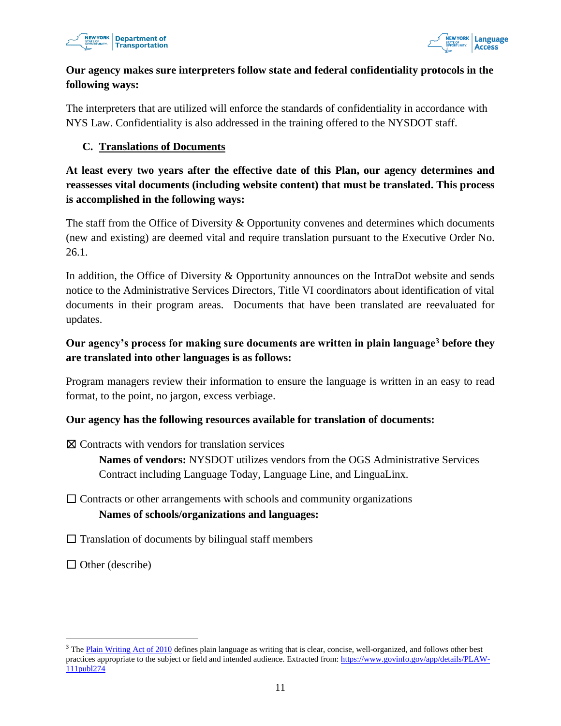



# **Our agency makes sure interpreters follow state and federal confidentiality protocols in the following ways:**

The interpreters that are utilized will enforce the standards of confidentiality in accordance with NYS Law. Confidentiality is also addressed in the training offered to the NYSDOT staff.

### **C. Translations of Documents**

# **At least every two years after the effective date of this Plan, our agency determines and reassesses vital documents (including website content) that must be translated. This process is accomplished in the following ways:**

The staff from the Office of Diversity & Opportunity convenes and determines which documents (new and existing) are deemed vital and require translation pursuant to the Executive Order No. 26.1.

In addition, the Office of Diversity & Opportunity announces on the IntraDot website and sends notice to the Administrative Services Directors, Title VI coordinators about identification of vital documents in their program areas. Documents that have been translated are reevaluated for updates.

# **Our agency's process for making sure documents are written in plain language<sup>3</sup> before they are translated into other languages is as follows:**

Program managers review their information to ensure the language is written in an easy to read format, to the point, no jargon, excess verbiage.

### **Our agency has the following resources available for translation of documents:**

☒ Contracts with vendors for translation services

**Names of vendors:** NYSDOT utilizes vendors from the OGS Administrative Services Contract including Language Today, Language Line, and LinguaLinx.

# $\Box$  Contracts or other arrangements with schools and community organizations **Names of schools/organizations and languages:**

 $\Box$  Translation of documents by bilingual staff members

 $\Box$  Other (describe)

<sup>&</sup>lt;sup>3</sup> The [Plain Writing Act of 2010](https://www.govinfo.gov/app/details/PLAW-111publ274) defines plain language as writing that is clear, concise, well-organized, and follows other best practices appropriate to the subject or field and intended audience. Extracted from: [https://www.govinfo.gov/app/details/PLAW-](https://www.govinfo.gov/app/details/PLAW-111publ274)[111publ274](https://www.govinfo.gov/app/details/PLAW-111publ274)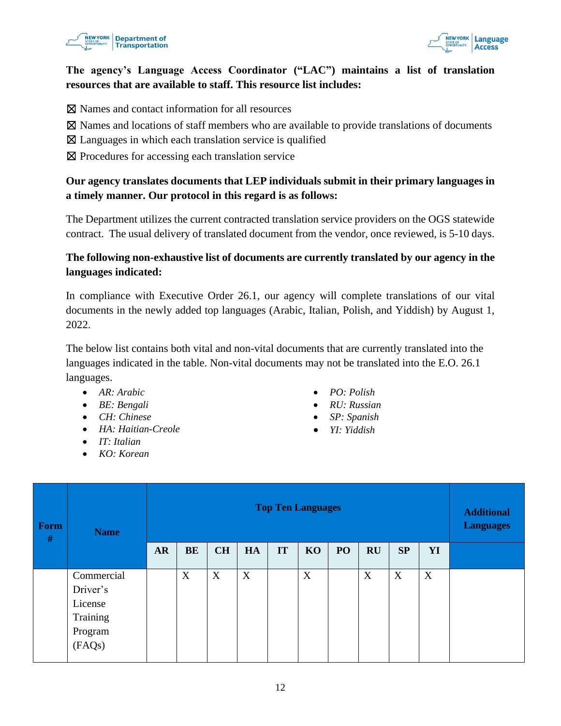



# **The agency's Language Access Coordinator ("LAC") maintains a list of translation resources that are available to staff. This resource list includes:**

☒ Names and contact information for all resources

- $\boxtimes$  Names and locations of staff members who are available to provide translations of documents
- ☒ Languages in which each translation service is qualified
- ⊠ Procedures for accessing each translation service

# **Our agency translates documents that LEP individuals submit in their primary languages in a timely manner. Our protocol in this regard is as follows:**

The Department utilizes the current contracted translation service providers on the OGS statewide contract. The usual delivery of translated document from the vendor, once reviewed, is 5-10 days.

# **The following non-exhaustive list of documents are currently translated by our agency in the languages indicated:**

In compliance with Executive Order 26.1, our agency will complete translations of our vital documents in the newly added top languages (Arabic, Italian, Polish, and Yiddish) by August 1, 2022.

The below list contains both vital and non-vital documents that are currently translated into the languages indicated in the table. Non-vital documents may not be translated into the E.O. 26.1 languages.

- *AR: Arabic*
- *BE: Bengali*
- *CH: Chinese*
- *HA: Haitian-Creole*
- *IT: Italian*
- *KO: Korean*
- *PO: Polish*
- *RU: Russian*
- *SP: Spanish*
- *YI: Yiddish*

| Form<br>$\#$ | <b>Name</b>                                                        |           | <b>Additional</b><br><b>Languages</b> |           |    |    |    |                 |           |    |    |  |
|--------------|--------------------------------------------------------------------|-----------|---------------------------------------|-----------|----|----|----|-----------------|-----------|----|----|--|
|              |                                                                    | <b>AR</b> | BE                                    | <b>CH</b> | HA | IT | KO | PO <sub>1</sub> | <b>RU</b> | SP | YI |  |
|              | Commercial<br>Driver's<br>License<br>Training<br>Program<br>(FAQs) |           | X                                     | X         | X  |    | X  |                 | X         | X  | X  |  |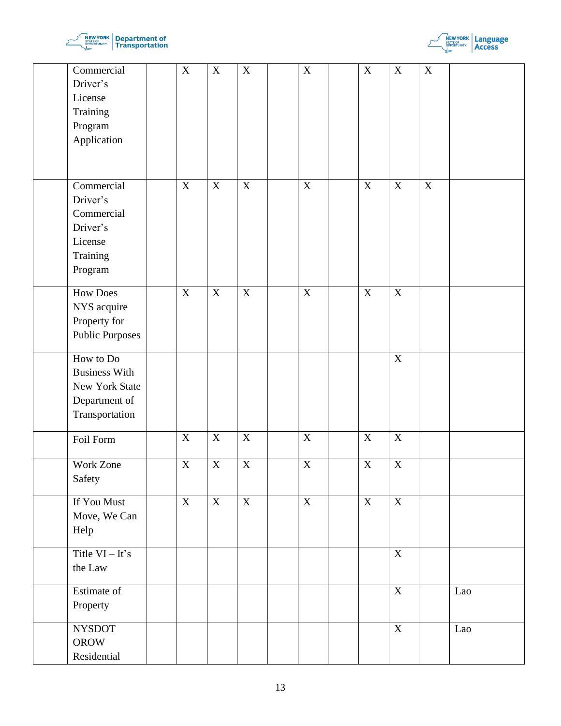



| Commercial<br>Driver's<br>License<br>Training                                          | $\mathbf X$             | $\mathbf X$             | $\mathbf X$             | $\mathbf X$             | $\mathbf X$               | $\mathbf X$             | $\mathbf X$ |     |
|----------------------------------------------------------------------------------------|-------------------------|-------------------------|-------------------------|-------------------------|---------------------------|-------------------------|-------------|-----|
| Program<br>Application                                                                 |                         |                         |                         |                         |                           |                         |             |     |
| Commercial<br>Driver's<br>Commercial<br>Driver's<br>License<br>Training<br>Program     | $\mathbf X$             | $\mathbf X$             | $\mathbf X$             | $\mathbf X$             | $\mathbf X$               | $\mathbf X$             | $\mathbf X$ |     |
| <b>How Does</b><br>NYS acquire<br>Property for<br>Public Purposes                      | $\mathbf X$             | $\mathbf X$             | $\boldsymbol{X}$        | $\boldsymbol{X}$        | $\mathbf X$               | $\overline{X}$          |             |     |
| How to Do<br><b>Business With</b><br>New York State<br>Department of<br>Transportation |                         |                         |                         |                         |                           | $\overline{X}$          |             |     |
| Foil Form                                                                              | $\mathbf X$             | $\overline{\textbf{X}}$ | $\mathbf X$             | $\mathbf X$             | $\mathbf X$               | $\overline{X}$          |             |     |
| Work Zone<br>Safety                                                                    | $\overline{\mathbf{X}}$ | $\overline{\mathbf{X}}$ | $\overline{\mathbf{X}}$ | $\overline{\textbf{X}}$ | $\overline{\textbf{X}}$   | $\overline{X}$          |             |     |
| If You Must<br>Move, We Can<br>Help                                                    | $\mathbf X$             | $\mathbf X$             | $\mathbf X$             | $\mathbf X$             | $\boldsymbol{\mathrm{X}}$ | $\overline{X}$          |             |     |
| Title $VI - It's$<br>the Law                                                           |                         |                         |                         |                         |                           | $\mathbf X$             |             |     |
| Estimate of<br>Property                                                                |                         |                         |                         |                         |                           | $\overline{\textbf{X}}$ |             | Lao |
| <b>NYSDOT</b><br><b>OROW</b><br>Residential                                            |                         |                         |                         |                         |                           | $\mathbf X$             |             | Lao |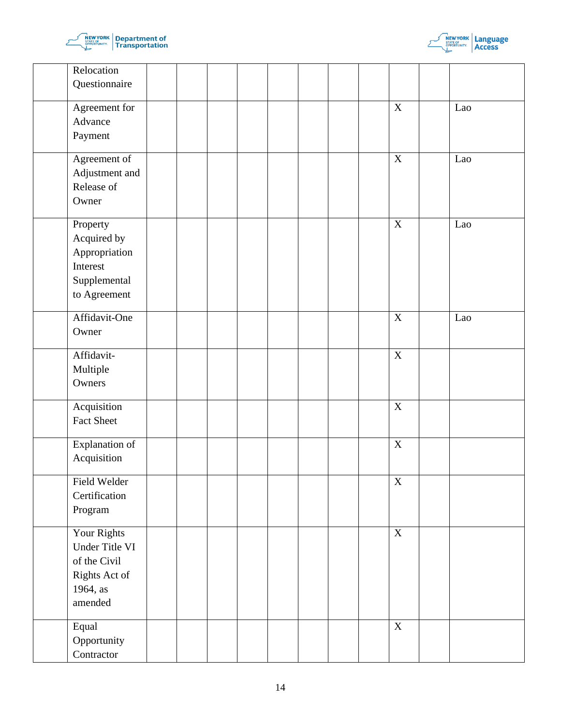



| Relocation<br>Questionnaire                                                           |  |  |  |                         |     |  |
|---------------------------------------------------------------------------------------|--|--|--|-------------------------|-----|--|
| Agreement for<br>Advance<br>Payment                                                   |  |  |  | $\overline{X}$          | Lao |  |
| Agreement of<br>Adjustment and<br>Release of<br>Owner                                 |  |  |  | $\overline{X}$          | Lao |  |
| Property<br>Acquired by<br>Appropriation<br>Interest<br>Supplemental<br>to Agreement  |  |  |  | $\overline{X}$          | Lao |  |
| Affidavit-One<br>Owner                                                                |  |  |  | $\overline{\textbf{X}}$ | Lao |  |
| Affidavit-<br>Multiple<br>Owners                                                      |  |  |  | $\overline{X}$          |     |  |
| Acquisition<br>Fact Sheet                                                             |  |  |  | $\mathbf X$             |     |  |
| Explanation of<br>Acquisition                                                         |  |  |  | $\overline{\textbf{X}}$ |     |  |
| Field Welder<br>Certification<br>Program                                              |  |  |  | $\mathbf X$             |     |  |
| Your Rights<br>Under Title VI<br>of the Civil<br>Rights Act of<br>1964, as<br>amended |  |  |  | $\overline{X}$          |     |  |
| Equal<br>Opportunity<br>Contractor                                                    |  |  |  | $\mathbf X$             |     |  |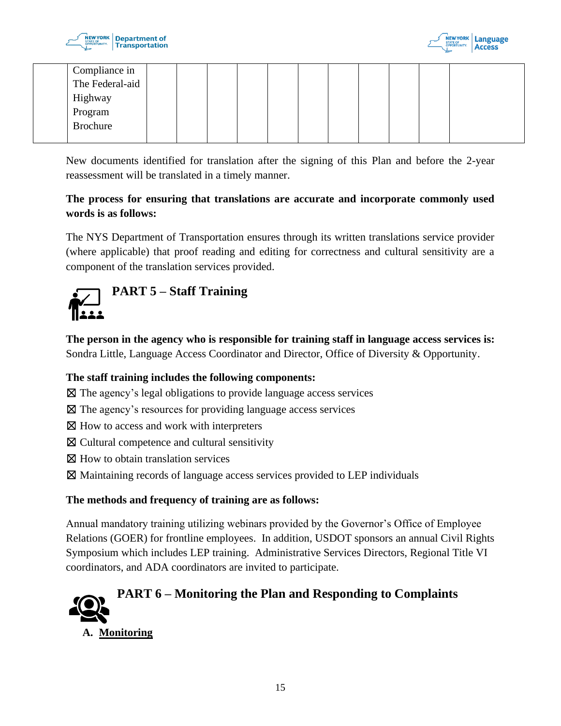



|  | Compliance in       |  |  |  |  |  |  |
|--|---------------------|--|--|--|--|--|--|
|  | The Federal-aid     |  |  |  |  |  |  |
|  | Highway             |  |  |  |  |  |  |
|  | Program<br>Brochure |  |  |  |  |  |  |
|  |                     |  |  |  |  |  |  |
|  |                     |  |  |  |  |  |  |

New documents identified for translation after the signing of this Plan and before the 2-year reassessment will be translated in a timely manner.

# **The process for ensuring that translations are accurate and incorporate commonly used words is as follows:**

The NYS Department of Transportation ensures through its written translations service provider (where applicable) that proof reading and editing for correctness and cultural sensitivity are a component of the translation services provided.



# <span id="page-14-0"></span>**PART 5 – Staff Training**

**The person in the agency who is responsible for training staff in language access services is:** Sondra Little, Language Access Coordinator and Director, Office of Diversity & Opportunity.

# **The staff training includes the following components:**

- ☒ The agency's legal obligations to provide language access services
- ☒ The agency's resources for providing language access services
- ⊠ How to access and work with interpreters
- ☒ Cultural competence and cultural sensitivity
- $\boxtimes$  How to obtain translation services
- ☒ Maintaining records of language access services provided to LEP individuals

### **The methods and frequency of training are as follows:**

Annual mandatory training utilizing webinars provided by the Governor's Office of Employee Relations (GOER) for frontline employees. In addition, USDOT sponsors an annual Civil Rights Symposium which includes LEP training. Administrative Services Directors, Regional Title VI coordinators, and ADA coordinators are invited to participate.

<span id="page-14-1"></span>

**A. Monitoring**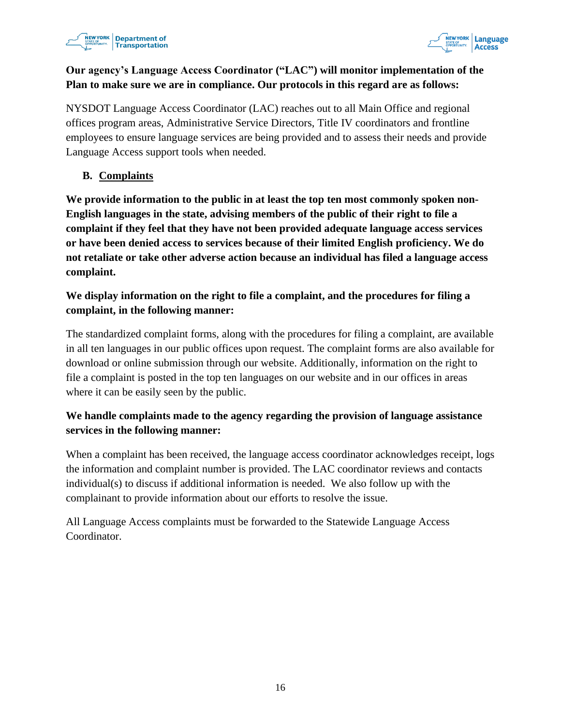



# **Our agency's Language Access Coordinator ("LAC") will monitor implementation of the Plan to make sure we are in compliance. Our protocols in this regard are as follows:**

NYSDOT Language Access Coordinator (LAC) reaches out to all Main Office and regional offices program areas, Administrative Service Directors, Title IV coordinators and frontline employees to ensure language services are being provided and to assess their needs and provide Language Access support tools when needed.

# **B. Complaints**

**We provide information to the public in at least the top ten most commonly spoken non-English languages in the state, advising members of the public of their right to file a complaint if they feel that they have not been provided adequate language access services or have been denied access to services because of their limited English proficiency. We do not retaliate or take other adverse action because an individual has filed a language access complaint.** 

# **We display information on the right to file a complaint, and the procedures for filing a complaint, in the following manner:**

The standardized complaint forms, along with the procedures for filing a complaint, are available in all ten languages in our public offices upon request. The complaint forms are also available for download or online submission through our website. Additionally, information on the right to file a complaint is posted in the top ten languages on our website and in our offices in areas where it can be easily seen by the public.

# **We handle complaints made to the agency regarding the provision of language assistance services in the following manner:**

When a complaint has been received, the language access coordinator acknowledges receipt, logs the information and complaint number is provided. The LAC coordinator reviews and contacts individual(s) to discuss if additional information is needed. We also follow up with the complainant to provide information about our efforts to resolve the issue.

<span id="page-15-0"></span>All Language Access complaints must be forwarded to the Statewide Language Access Coordinator.